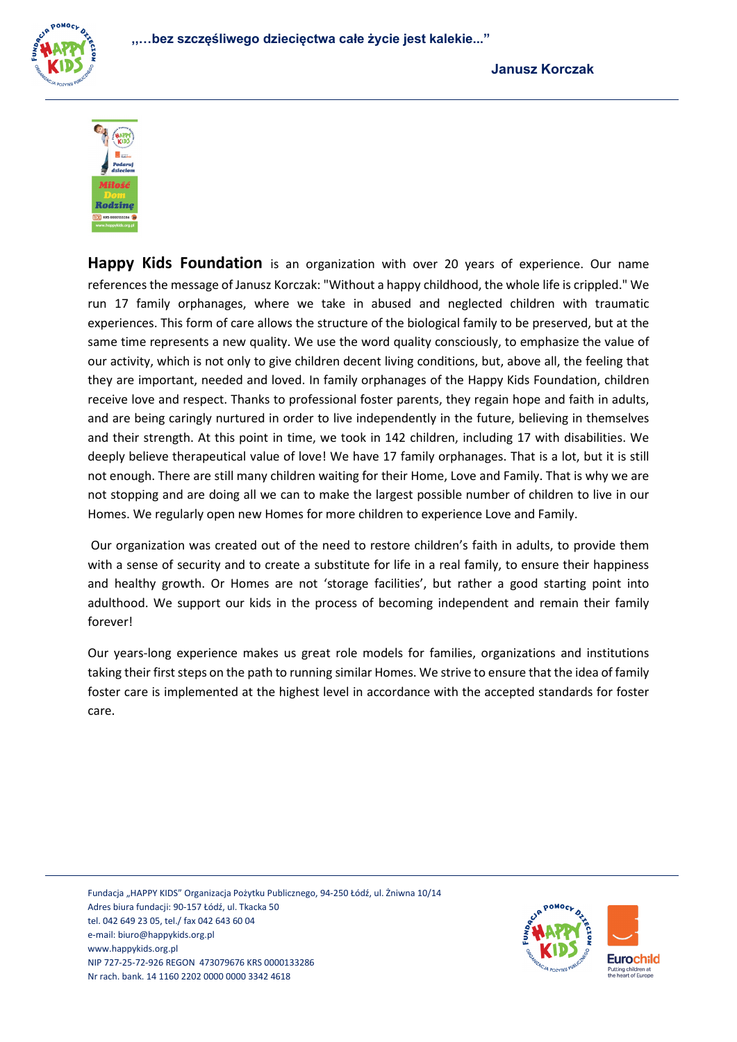



**Happy Kids Foundation** is an organization with over 20 years of experience. Our name references the message of Janusz Korczak: "Without a happy childhood, the whole life is crippled." We run 17 family orphanages, where we take in abused and neglected children with traumatic experiences. This form of care allows the structure of the biological family to be preserved, but at the same time represents a new quality. We use the word quality consciously, to emphasize the value of our activity, which is not only to give children decent living conditions, but, above all, the feeling that they are important, needed and loved. In family orphanages of the Happy Kids Foundation, children receive love and respect. Thanks to professional foster parents, they regain hope and faith in adults, and are being caringly nurtured in order to live independently in the future, believing in themselves and their strength. At this point in time, we took in 142 children, including 17 with disabilities. We deeply believe therapeutical value of love! We have 17 family orphanages. That is a lot, but it is still not enough. There are still many children waiting for their Home, Love and Family. That is why we are not stopping and are doing all we can to make the largest possible number of children to live in our Homes. We regularly open new Homes for more children to experience Love and Family.

Our organization was created out of the need to restore children's faith in adults, to provide them with a sense of security and to create a substitute for life in a real family, to ensure their happiness and healthy growth. Or Homes are not 'storage facilities', but rather a good starting point into adulthood. We support our kids in the process of becoming independent and remain their family forever!

Our years-long experience makes us great role models for families, organizations and institutions taking their first steps on the path to running similar Homes. We strive to ensure that the idea of family foster care is implemented at the highest level in accordance with the accepted standards for foster care.

Fundacja "HAPPY KIDS" Organizacja Pożytku Publicznego, 94-250 Łódź, ul. Żniwna 10/14 Adres biura fundacji: 90-157 Łódź, ul. Tkacka 50 tel. 042 649 23 05, tel./ fax 042 643 60 04 e-mail[: biuro@happykids.org.pl](mailto:biuro@happykids.org.pl) [www.happykids.org.pl](http://www.happykids.org.pl/) NIP 727-25-72-926 REGON 473079676 KRS 0000133286 Nr rach. bank. 14 1160 2202 0000 0000 3342 4618

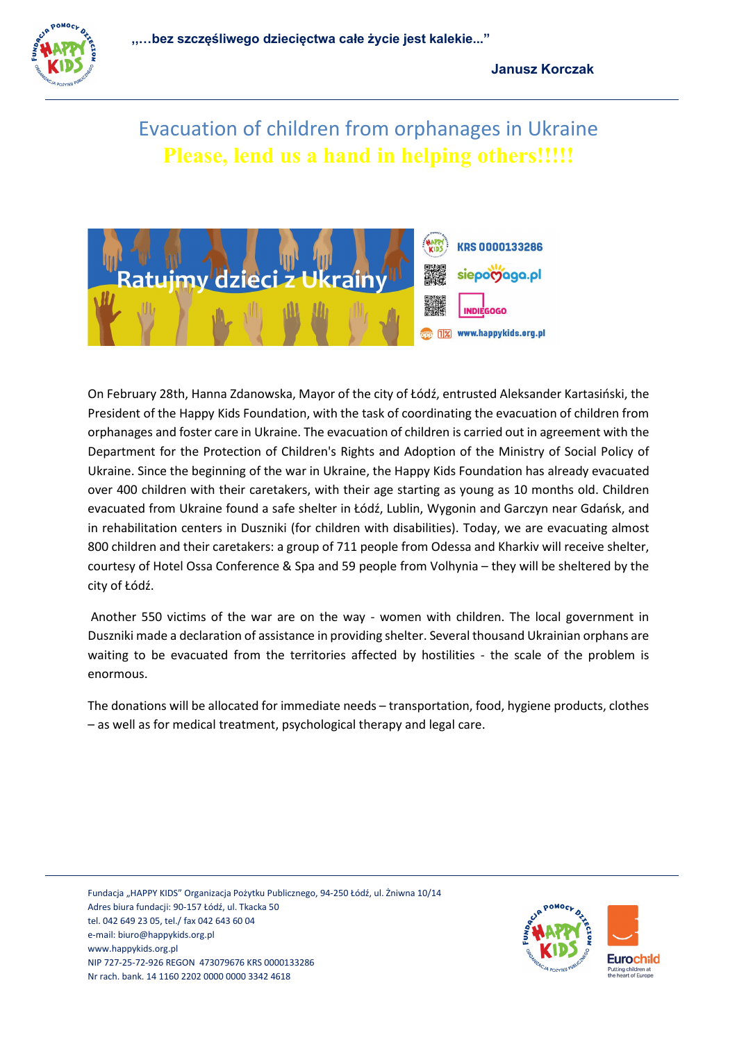

## Evacuation of children from orphanages in Ukraine **Please, lend us a hand in helping others!!!!!**



On February 28th, Hanna Zdanowska, Mayor of the city of Łódź, entrusted Aleksander Kartasiński, the President of the Happy Kids Foundation, with the task of coordinating the evacuation of children from orphanages and foster care in Ukraine. The evacuation of children is carried out in agreement with the Department for the Protection of Children's Rights and Adoption of the Ministry of Social Policy of Ukraine. Since the beginning of the war in Ukraine, the Happy Kids Foundation has already evacuated over 400 children with their caretakers, with their age starting as young as 10 months old. Children evacuated from Ukraine found a safe shelter in Łódź, Lublin, Wygonin and Garczyn near Gdańsk, and in rehabilitation centers in Duszniki (for children with disabilities). Today, we are evacuating almost 800 children and their caretakers: a group of 711 people from Odessa and Kharkiv will receive shelter, courtesy of Hotel Ossa Conference & Spa and 59 people from Volhynia – they will be sheltered by the city of Łódź.

Another 550 victims of the war are on the way - women with children. The local government in Duszniki made a declaration of assistance in providing shelter. Several thousand Ukrainian orphans are waiting to be evacuated from the territories affected by hostilities - the scale of the problem is enormous.

The donations will be allocated for immediate needs – transportation, food, hygiene products, clothes – as well as for medical treatment, psychological therapy and legal care.

Fundacja "HAPPY KIDS" Organizacja Pożytku Publicznego, 94-250 Łódź, ul. Żniwna 10/14 Adres biura fundacji: 90-157 Łódź, ul. Tkacka 50 tel. 042 649 23 05, tel./ fax 042 643 60 04 e-mail[: biuro@happykids.org.pl](mailto:biuro@happykids.org.pl) [www.happykids.org.pl](http://www.happykids.org.pl/) NIP 727-25-72-926 REGON 473079676 KRS 0000133286 Nr rach. bank. 14 1160 2202 0000 0000 3342 4618